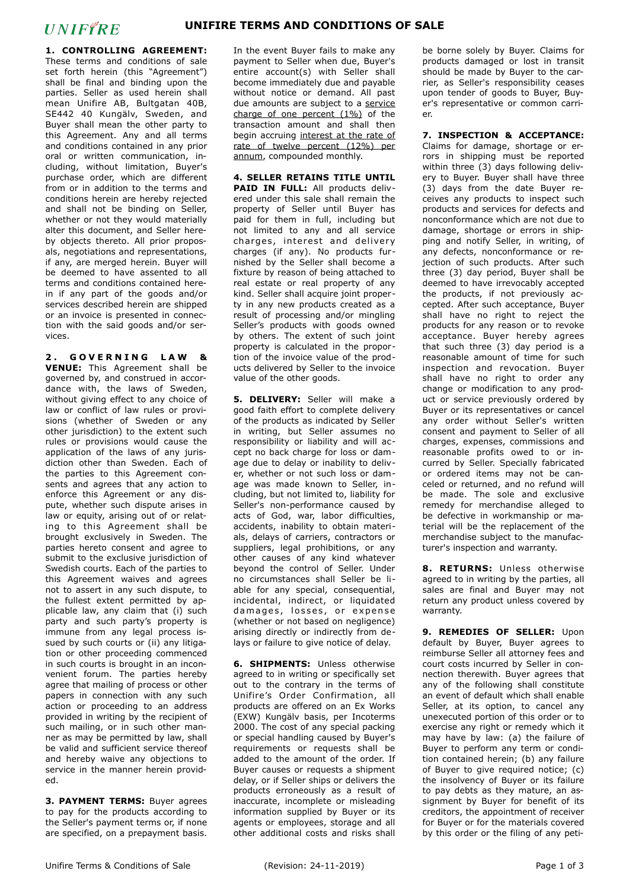## **UNIFFRE**

**1. CONTROLLING AGREEMENT:** These terms and conditions of sale set forth herein (this "Agreement") shall be final and binding upon the parties. Seller as used herein shall mean Unifire AB, Bultgatan 40B, SE442 40 Kungälv, Sweden, and Buyer shall mean the other party to this Agreement. Any and all terms and conditions contained in any prior oral or written communication, including, without limitation, Buyer's purchase order, which are different from or in addition to the terms and conditions herein are hereby rejected and shall not be binding on Seller, whether or not they would materially alter this document, and Seller hereby objects thereto. All prior proposals, negotiations and representations, if any, are merged herein. Buyer will be deemed to have assented to all terms and conditions contained herein if any part of the goods and/or services described herein are shipped or an invoice is presented in connection with the said goods and/or services.

2. GOVERNING LAW & **VENUE:** This Agreement shall be governed by, and construed in accordance with, the laws of Sweden, without giving effect to any choice of law or conflict of law rules or provisions (whether of Sweden or any other jurisdiction) to the extent such rules or provisions would cause the application of the laws of any jurisdiction other than Sweden. Each of the parties to this Agreement consents and agrees that any action to enforce this Agreement or any dispute, whether such dispute arises in law or equity, arising out of or relating to this Agreement shall be brought exclusively in Sweden. The parties hereto consent and agree to submit to the exclusive jurisdiction of Swedish courts. Each of the parties to this Agreement waives and agrees not to assert in any such dispute, to the fullest extent permitted by applicable law, any claim that (i) such party and such party's property is immune from any legal process issued by such courts or (ii) any litigation or other proceeding commenced in such courts is brought in an inconvenient forum. The parties hereby agree that mailing of process or other papers in connection with any such action or proceeding to an address provided in writing by the recipient of such mailing, or in such other manner as may be permitted by law, shall be valid and sufficient service thereof and hereby waive any objections to service in the manner herein provided.

**3. PAYMENT TERMS:** Buyer agrees to pay for the products according to the Seller's payment terms or, if none are specified, on a prepayment basis. In the event Buyer fails to make any payment to Seller when due, Buyer's entire account(s) with Seller shall become immediately due and payable without notice or demand. All past due amounts are subject to a service charge of one percent (1%) of the transaction amount and shall then begin accruing interest at the rate of rate of twelve percent (12%) per annum, compounded monthly.

**4. SELLER RETAINS TITLE UNTIL PAID IN FULL:** All products delivered under this sale shall remain the property of Seller until Buyer has paid for them in full, including but not limited to any and all service charges, interest and deliverv charges (if any). No products furnished by the Seller shall become a fixture by reason of being attached to real estate or real property of any kind. Seller shall acquire joint property in any new products created as a result of processing and/or mingling Seller's products with goods owned by others. The extent of such joint property is calculated in the proportion of the invoice value of the products delivered by Seller to the invoice value of the other goods.

**5. DELIVERY:** Seller will make a good faith effort to complete delivery of the products as indicated by Seller in writing, but Seller assumes no responsibility or liability and will accept no back charge for loss or damage due to delay or inability to deliver, whether or not such loss or damage was made known to Seller, including, but not limited to, liability for Seller's non-performance caused by acts of God, war, labor difficulties, accidents, inability to obtain materials, delays of carriers, contractors or suppliers, legal prohibitions, or any other causes of any kind whatever beyond the control of Seller. Under no circumstances shall Seller be liable for any special, consequential, incidental, indirect, or liquidated damages, losses, or expense (whether or not based on negligence) arising directly or indirectly from delays or failure to give notice of delay.

**6. SHIPMENTS:** Unless otherwise agreed to in writing or specifically set out to the contrary in the terms of Unifire's Order Confirmation, all products are offered on an Ex Works (EXW) Kungälv basis, per Incoterms 2000. The cost of any special packing or special handling caused by Buyer's requirements or requests shall be added to the amount of the order. If Buyer causes or requests a shipment delay, or if Seller ships or delivers the products erroneously as a result of inaccurate, incomplete or misleading information supplied by Buyer or its agents or employees, storage and all other additional costs and risks shall

be borne solely by Buyer. Claims for products damaged or lost in transit should be made by Buyer to the carrier, as Seller's responsibility ceases upon tender of goods to Buyer, Buyer's representative or common carrier.

**7. INSPECTION & ACCEPTANCE:** 

Claims for damage, shortage or errors in shipping must be reported within three (3) days following delivery to Buyer. Buyer shall have three (3) days from the date Buyer receives any products to inspect such products and services for defects and nonconformance which are not due to damage, shortage or errors in shipping and notify Seller, in writing, of any defects, nonconformance or rejection of such products. After such three (3) day period, Buyer shall be deemed to have irrevocably accepted the products, if not previously accepted. After such acceptance, Buyer shall have no right to reject the products for any reason or to revoke acceptance. Buyer hereby agrees that such three (3) day period is a reasonable amount of time for such inspection and revocation. Buyer shall have no right to order any change or modification to any product or service previously ordered by Buyer or its representatives or cancel any order without Seller's written consent and payment to Seller of all charges, expenses, commissions and reasonable profits owed to or incurred by Seller. Specially fabricated or ordered items may not be canceled or returned, and no refund will be made. The sole and exclusive remedy for merchandise alleged to be defective in workmanship or material will be the replacement of the merchandise subject to the manufacturer's inspection and warranty.

**8. RETURNS:** Unless otherwise agreed to in writing by the parties, all sales are final and Buyer may not return any product unless covered by warranty.

**9. REMEDIES OF SELLER:** Upon default by Buyer, Buyer agrees to reimburse Seller all attorney fees and court costs incurred by Seller in connection therewith. Buyer agrees that any of the following shall constitute an event of default which shall enable Seller, at its option, to cancel any unexecuted portion of this order or to exercise any right or remedy which it may have by law: (a) the failure of Buyer to perform any term or condition contained herein; (b) any failure of Buyer to give required notice; (c) the insolvency of Buyer or its failure to pay debts as they mature, an assignment by Buyer for benefit of its creditors, the appointment of receiver for Buyer or for the materials covered by this order or the filing of any peti-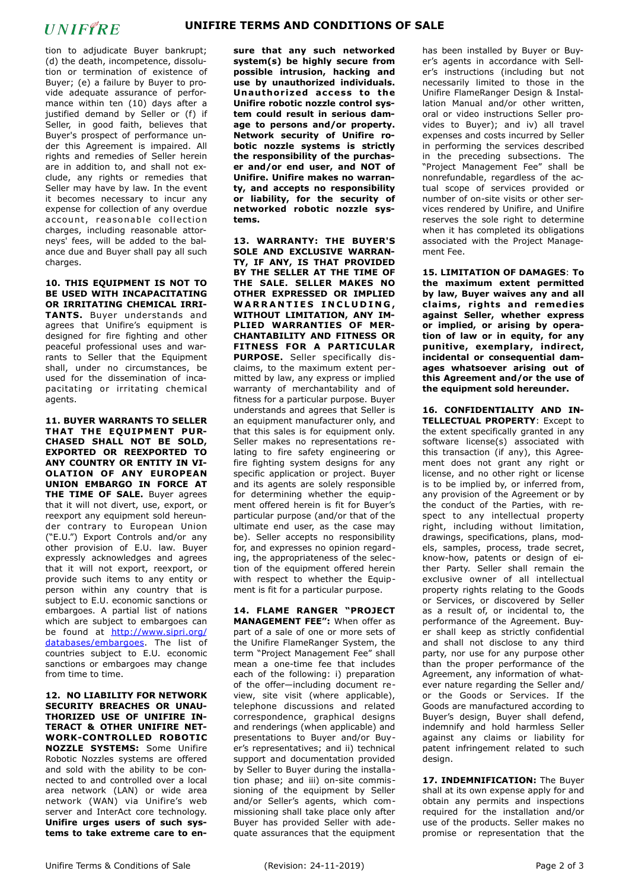## **UNIFFRE**

tion to adjudicate Buyer bankrupt; (d) the death, incompetence, dissolution or termination of existence of Buyer; (e) a failure by Buyer to provide adequate assurance of performance within ten (10) days after a justified demand by Seller or (f) if Seller, in good faith, believes that Buyer's prospect of performance under this Agreement is impaired. All rights and remedies of Seller herein are in addition to, and shall not exclude, any rights or remedies that Seller may have by law. In the event it becomes necessary to incur any expense for collection of any overdue account, reasonable collection charges, including reasonable attorneys' fees, will be added to the balance due and Buyer shall pay all such charges.

**10. THIS EQUIPMENT IS NOT TO BE USED WITH INCAPACITATING OR IRRITATING CHEMICAL IRRI-TANTS.** Buyer understands and agrees that Unifire's equipment is designed for fire fighting and other peaceful professional uses and warrants to Seller that the Equipment shall, under no circumstances, be used for the dissemination of incapacitating or irritating chemical agents.

**11. BUYER WARRANTS TO SELLER THAT THE EQUIPMENT PUR-CHASED SHALL NOT BE SOLD, EXPORTED OR REEXPORTED TO ANY COUNTRY OR ENTITY IN VI-OLATION OF ANY EUROPEAN UNION EMBARGO IN FORCE AT THE TIME OF SALE.** Buyer agrees that it will not divert, use, export, or reexport any equipment sold hereunder contrary to European Union ("E.U.") Export Controls and/or any other provision of E.U. law. Buyer expressly acknowledges and agrees that it will not export, reexport, or provide such items to any entity or person within any country that is subject to E.U. economic sanctions or embargoes. A partial list of nations which are subject to embargoes can be found at [http://www.sipri.org/](http://www.sipri.org/databases/embargoes) [databases/embargoes](http://www.sipri.org/databases/embargoes). The list of countries subject to E.U. economic sanctions or embargoes may change from time to time.

**12. NO LIABILITY FOR NETWORK SECURITY BREACHES OR UNAU-THORIZED USE OF UNIFIRE IN-TERACT & OTHER UNIFIRE NET-WORK-CONTROLLED ROBOTIC NOZZLE SYSTEMS:** Some Unifire Robotic Nozzles systems are offered and sold with the ability to be connected to and controlled over a local area network (LAN) or wide area network (WAN) via Unifire's web server and InterAct core technology. **Unifire urges users of such systems to take extreme care to en-** **sure that any such networked system(s) be highly secure from possible intrusion, hacking and use by unauthorized individuals. Unau thor ized access to the Unifire robotic nozzle control system could result in serious damage to persons and/or property. Network security of Unifire robotic nozzle systems is strictly the responsibility of the purchaser and/or end user, and NOT of Unifire. Unifire makes no warranty, and accepts no responsibility or liability, for the security of networked robotic nozzle systems.**

**13. WARRANTY: THE BUYER'S SOLE AND EXCLUSIVE WARRAN-TY, IF ANY, IS THAT PROVIDED BY THE SELLER AT THE TIME OF THE SALE. SELLER MAKES NO OTHER EXPRESSED OR IMPLIED WARRANTIES INCLUDING, WITHOUT LIMITATION, ANY IM-PLIED WARRANTIES OF MER-CHANTABILITY AND FITNESS OR FITNESS FOR A PARTICULAR PURPOSE.** Seller specifically disclaims, to the maximum extent permitted by law, any express or implied warranty of merchantability and of fitness for a particular purpose. Buyer understands and agrees that Seller is an equipment manufacturer only, and that this sales is for equipment only. Seller makes no representations relating to fire safety engineering or fire fighting system designs for any specific application or project. Buyer and its agents are solely responsible for determining whether the equipment offered herein is fit for Buyer's particular purpose (and/or that of the ultimate end user, as the case may be). Seller accepts no responsibility for, and expresses no opinion regarding, the appropriateness of the selection of the equipment offered herein with respect to whether the Equipment is fit for a particular purpose.

**14. FLAME RANGER "PROJECT MANAGEMENT FEE":** When offer as part of a sale of one or more sets of the Unifire FlameRanger System, the term "Project Management Fee" shall mean a one-time fee that includes each of the following: i) preparation of the offer—including document review, site visit (where applicable), telephone discussions and related correspondence, graphical designs and renderings (when applicable) and presentations to Buyer and/or Buyer's representatives; and ii) technical support and documentation provided by Seller to Buyer during the installation phase; and iii) on-site commissioning of the equipment by Seller and/or Seller's agents, which commissioning shall take place only after Buyer has provided Seller with adequate assurances that the equipment has been installed by Buyer or Buyer's agents in accordance with Seller's instructions (including but not necessarily limited to those in the Unifire FlameRanger Design & Installation Manual and/or other written, oral or video instructions Seller provides to Buyer); and iv) all travel expenses and costs incurred by Seller in performing the services described in the preceding subsections. The "Project Management Fee" shall be nonrefundable, regardless of the actual scope of services provided or number of on-site visits or other services rendered by Unifire, and Unifire reserves the sole right to determine when it has completed its obligations associated with the Project Management Fee.

**15. LIMITATION OF DAMAGES**: **To the maximum extent permitted by law, Buyer waives any and all c la ims , r ights and remed ies against Seller, whether express or implied, or arising by operation of law or in equity, for any punitive, exemplary, indirect, incidental or consequential damages whatsoever arising out of this Agreement and/or the use of the equipment sold hereunder.** 

**16. CONFIDENTIALITY AND IN-TELLECTUAL PROPERTY**: Except to the extent specifically granted in any software license(s) associated with this transaction (if any), this Agreement does not grant any right or license, and no other right or license is to be implied by, or inferred from, any provision of the Agreement or by the conduct of the Parties, with respect to any intellectual property right, including without limitation, drawings, specifications, plans, models, samples, process, trade secret, know-how, patents or design of either Party. Seller shall remain the exclusive owner of all intellectual property rights relating to the Goods or Services, or discovered by Seller as a result of, or incidental to, the performance of the Agreement. Buyer shall keep as strictly confidential and shall not disclose to any third party, nor use for any purpose other than the proper performance of the Agreement, any information of whatever nature regarding the Seller and/ or the Goods or Services. If the Goods are manufactured according to Buyer's design, Buyer shall defend, indemnify and hold harmless Seller against any claims or liability for patent infringement related to such design.

**17. INDEMNIFICATION:** The Buyer shall at its own expense apply for and obtain any permits and inspections required for the installation and/or use of the products. Seller makes no promise or representation that the